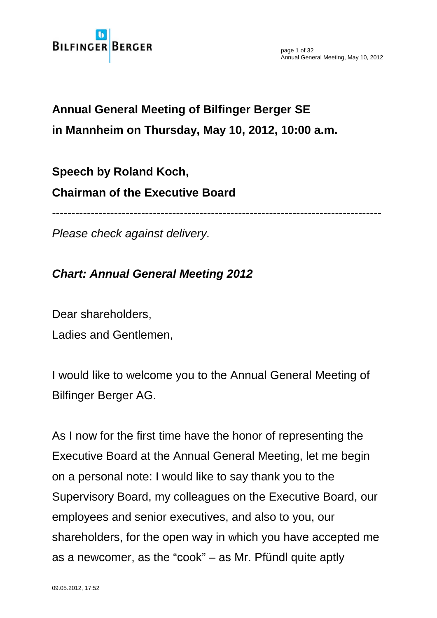

page 1 of 32 Annual General Meeting, May 10, 2012

# **Annual General Meeting of Bilfinger Berger SE in Mannheim on Thursday, May 10, 2012, 10:00 a.m.**

# **Speech by Roland Koch, Chairman of the Executive Board**

-------------------------------------------------------------------------------------

*Please check against delivery.*

## *Chart: Annual General Meeting 2012*

Dear shareholders, Ladies and Gentlemen,

I would like to welcome you to the Annual General Meeting of Bilfinger Berger AG.

As I now for the first time have the honor of representing the Executive Board at the Annual General Meeting, let me begin on a personal note: I would like to say thank you to the Supervisory Board, my colleagues on the Executive Board, our employees and senior executives, and also to you, our shareholders, for the open way in which you have accepted me as a newcomer, as the "cook" – as Mr. Pfündl quite aptly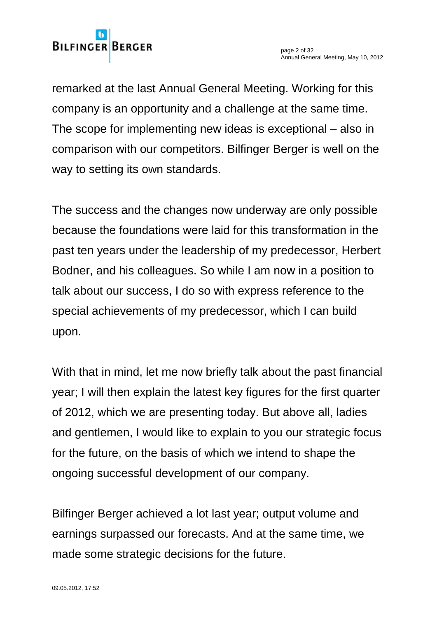

remarked at the last Annual General Meeting. Working for this company is an opportunity and a challenge at the same time. The scope for implementing new ideas is exceptional – also in comparison with our competitors. Bilfinger Berger is well on the way to setting its own standards.

The success and the changes now underway are only possible because the foundations were laid for this transformation in the past ten years under the leadership of my predecessor, Herbert Bodner, and his colleagues. So while I am now in a position to talk about our success, I do so with express reference to the special achievements of my predecessor, which I can build upon.

With that in mind, let me now briefly talk about the past financial year; I will then explain the latest key figures for the first quarter of 2012, which we are presenting today. But above all, ladies and gentlemen, I would like to explain to you our strategic focus for the future, on the basis of which we intend to shape the ongoing successful development of our company.

Bilfinger Berger achieved a lot last year; output volume and earnings surpassed our forecasts. And at the same time, we made some strategic decisions for the future.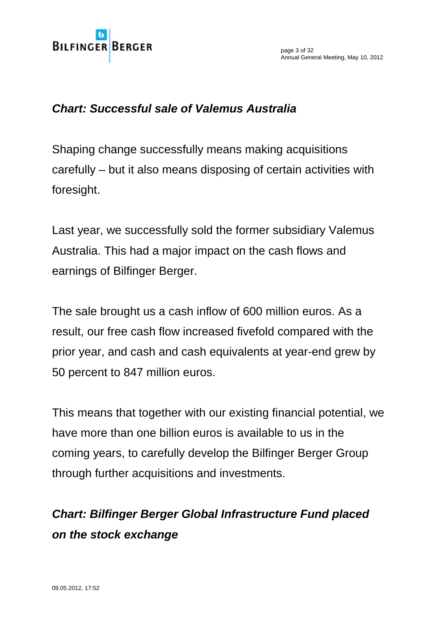

#### *Chart: Successful sale of Valemus Australia*

Shaping change successfully means making acquisitions carefully – but it also means disposing of certain activities with foresight.

Last year, we successfully sold the former subsidiary Valemus Australia. This had a major impact on the cash flows and earnings of Bilfinger Berger.

The sale brought us a cash inflow of 600 million euros. As a result, our free cash flow increased fivefold compared with the prior year, and cash and cash equivalents at year-end grew by 50 percent to 847 million euros.

This means that together with our existing financial potential, we have more than one billion euros is available to us in the coming years, to carefully develop the Bilfinger Berger Group through further acquisitions and investments.

# *Chart: Bilfinger Berger Global Infrastructure Fund placed on the stock exchange*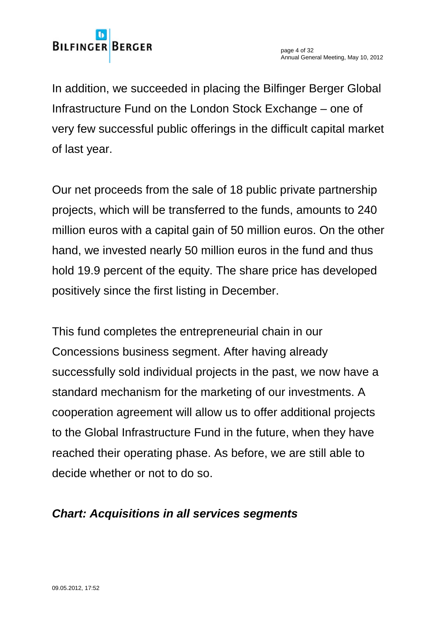In addition, we succeeded in placing the Bilfinger Berger Global Infrastructure Fund on the London Stock Exchange – one of very few successful public offerings in the difficult capital market of last year.

Our net proceeds from the sale of 18 public private partnership projects, which will be transferred to the funds, amounts to 240 million euros with a capital gain of 50 million euros. On the other hand, we invested nearly 50 million euros in the fund and thus hold 19.9 percent of the equity. The share price has developed positively since the first listing in December.

This fund completes the entrepreneurial chain in our Concessions business segment. After having already successfully sold individual projects in the past, we now have a standard mechanism for the marketing of our investments. A cooperation agreement will allow us to offer additional projects to the Global Infrastructure Fund in the future, when they have reached their operating phase. As before, we are still able to decide whether or not to do so.

# *Chart: Acquisitions in all services segments*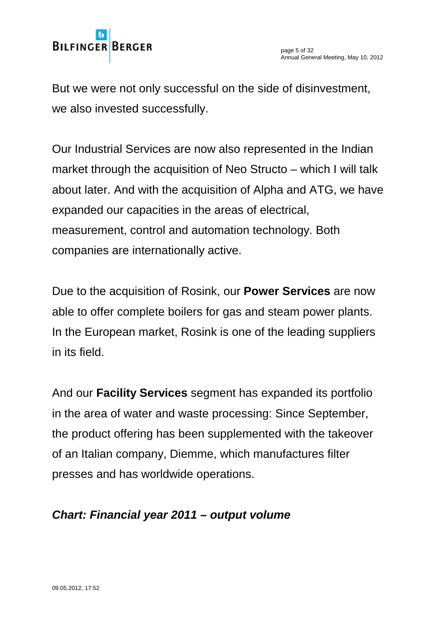

But we were not only successful on the side of disinvestment, we also invested successfully.

Our Industrial Services are now also represented in the Indian market through the acquisition of Neo Structo – which I will talk about later. And with the acquisition of Alpha and ATG, we have expanded our capacities in the areas of electrical, measurement, control and automation technology. Both companies are internationally active.

Due to the acquisition of Rosink, our **Power Services** are now able to offer complete boilers for gas and steam power plants. In the European market, Rosink is one of the leading suppliers in its field.

And our **Facility Services** segment has expanded its portfolio in the area of water and waste processing: Since September, the product offering has been supplemented with the takeover of an Italian company, Diemme, which manufactures filter presses and has worldwide operations.

## *Chart: Financial year 2011 – output volume*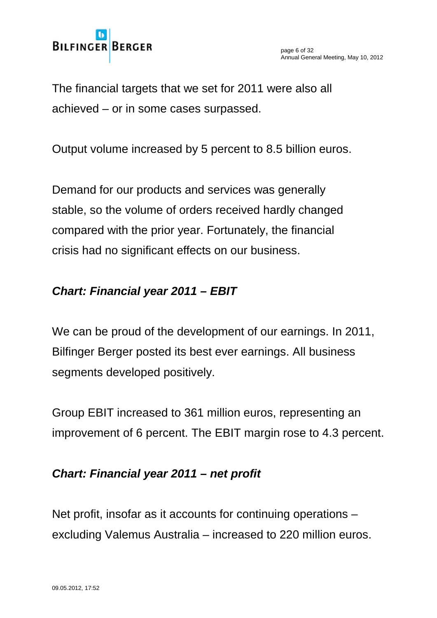

The financial targets that we set for 2011 were also all achieved – or in some cases surpassed.

Output volume increased by 5 percent to 8.5 billion euros.

Demand for our products and services was generally stable, so the volume of orders received hardly changed compared with the prior year. Fortunately, the financial crisis had no significant effects on our business.

## *Chart: Financial year 2011 – EBIT*

We can be proud of the development of our earnings. In 2011, Bilfinger Berger posted its best ever earnings. All business segments developed positively.

Group EBIT increased to 361 million euros, representing an improvement of 6 percent. The EBIT margin rose to 4.3 percent.

## *Chart: Financial year 2011 – net profit*

Net profit, insofar as it accounts for continuing operations – excluding Valemus Australia – increased to 220 million euros.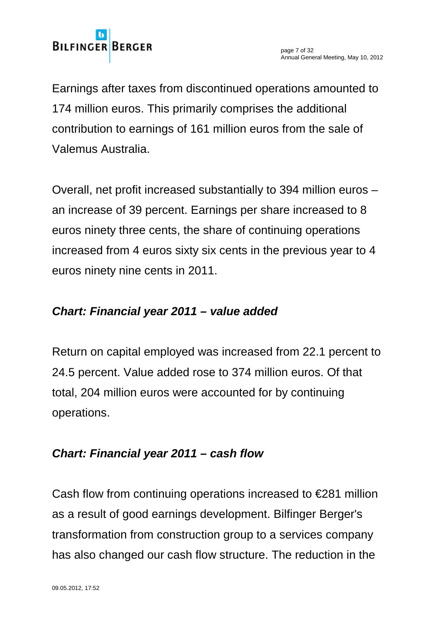Earnings after taxes from discontinued operations amounted to 174 million euros. This primarily comprises the additional contribution to earnings of 161 million euros from the sale of Valemus Australia.

Overall, net profit increased substantially to 394 million euros – an increase of 39 percent. Earnings per share increased to 8 euros ninety three cents, the share of continuing operations increased from 4 euros sixty six cents in the previous year to 4 euros ninety nine cents in 2011.

# *Chart: Financial year 2011 – value added*

Return on capital employed was increased from 22.1 percent to 24.5 percent. Value added rose to 374 million euros. Of that total, 204 million euros were accounted for by continuing operations.

# *Chart: Financial year 2011 – cash flow*

Cash flow from continuing operations increased to  $\epsilon$ 281 million as a result of good earnings development. Bilfinger Berger's transformation from construction group to a services company has also changed our cash flow structure. The reduction in the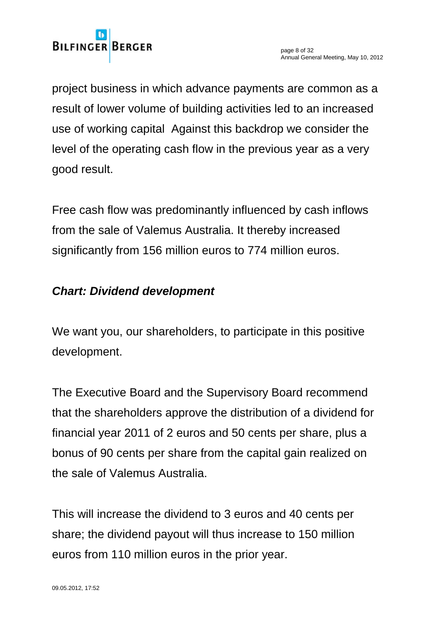project business in which advance payments are common as a result of lower volume of building activities led to an increased use of working capital Against this backdrop we consider the level of the operating cash flow in the previous year as a very good result.

Free cash flow was predominantly influenced by cash inflows from the sale of Valemus Australia. It thereby increased significantly from 156 million euros to 774 million euros.

## *Chart: Dividend development*

We want you, our shareholders, to participate in this positive development.

The Executive Board and the Supervisory Board recommend that the shareholders approve the distribution of a dividend for financial year 2011 of 2 euros and 50 cents per share, plus a bonus of 90 cents per share from the capital gain realized on the sale of Valemus Australia.

This will increase the dividend to 3 euros and 40 cents per share; the dividend payout will thus increase to 150 million euros from 110 million euros in the prior year.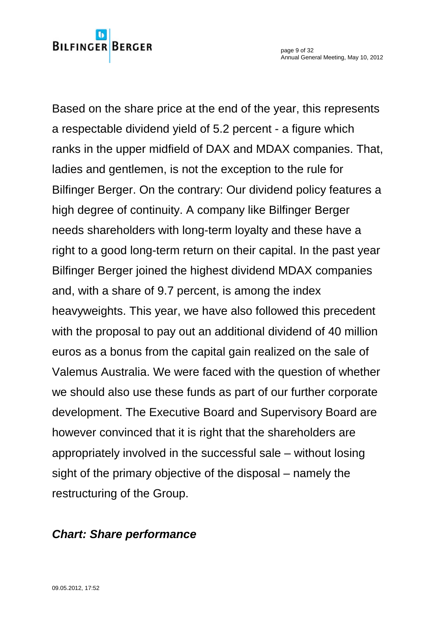# **BILFINGER BERGER**

Based on the share price at the end of the year, this represents a respectable dividend yield of 5.2 percent - a figure which ranks in the upper midfield of DAX and MDAX companies. That, ladies and gentlemen, is not the exception to the rule for Bilfinger Berger. On the contrary: Our dividend policy features a high degree of continuity. A company like Bilfinger Berger needs shareholders with long-term loyalty and these have a right to a good long-term return on their capital. In the past year Bilfinger Berger joined the highest dividend MDAX companies and, with a share of 9.7 percent, is among the index heavyweights. This year, we have also followed this precedent with the proposal to pay out an additional dividend of 40 million euros as a bonus from the capital gain realized on the sale of Valemus Australia. We were faced with the question of whether we should also use these funds as part of our further corporate development. The Executive Board and Supervisory Board are however convinced that it is right that the shareholders are appropriately involved in the successful sale – without losing sight of the primary objective of the disposal – namely the restructuring of the Group.

## *Chart: Share performance*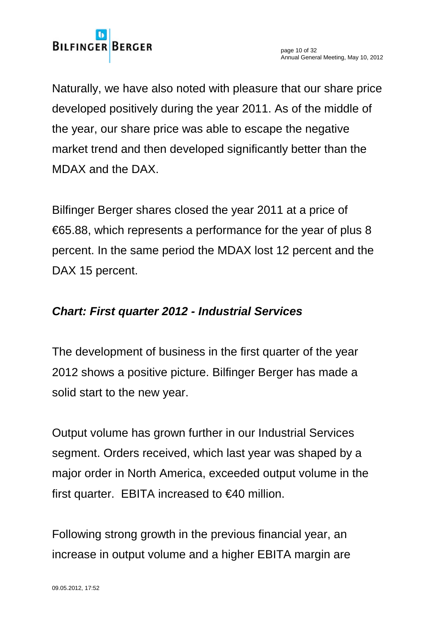Naturally, we have also noted with pleasure that our share price developed positively during the year 2011. As of the middle of the year, our share price was able to escape the negative market trend and then developed significantly better than the MDAX and the DAX.

Bilfinger Berger shares closed the year 2011 at a price of €65.88, which represents a performance for the year of plus 8 percent. In the same period the MDAX lost 12 percent and the DAX 15 percent.

## *Chart: First quarter 2012 - Industrial Services*

The development of business in the first quarter of the year 2012 shows a positive picture. Bilfinger Berger has made a solid start to the new year.

Output volume has grown further in our Industrial Services segment. Orders received, which last year was shaped by a major order in North America, exceeded output volume in the first quarter. EBITA increased to  $\in$ 40 million.

Following strong growth in the previous financial year, an increase in output volume and a higher EBITA margin are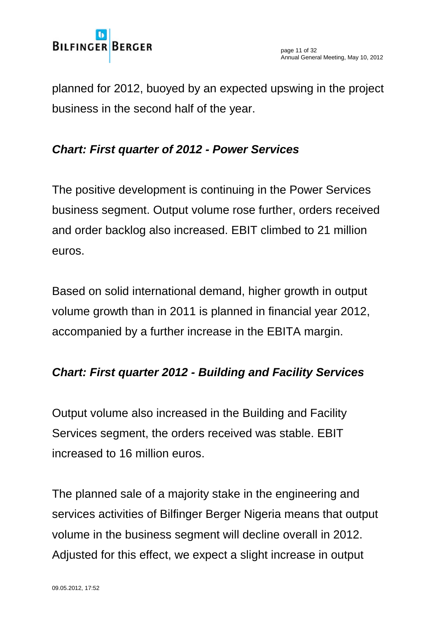

planned for 2012, buoyed by an expected upswing in the project business in the second half of the year.

## *Chart: First quarter of 2012 - Power Services*

The positive development is continuing in the Power Services business segment. Output volume rose further, orders received and order backlog also increased. EBIT climbed to 21 million euros.

Based on solid international demand, higher growth in output volume growth than in 2011 is planned in financial year 2012, accompanied by a further increase in the EBITA margin.

#### *Chart: First quarter 2012 - Building and Facility Services*

Output volume also increased in the Building and Facility Services segment, the orders received was stable. EBIT increased to 16 million euros.

The planned sale of a majority stake in the engineering and services activities of Bilfinger Berger Nigeria means that output volume in the business segment will decline overall in 2012. Adjusted for this effect, we expect a slight increase in output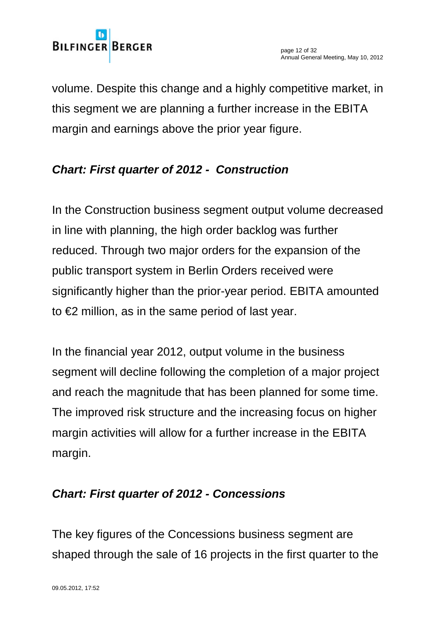volume. Despite this change and a highly competitive market, in this segment we are planning a further increase in the EBITA margin and earnings above the prior year figure.

# *Chart: First quarter of 2012 - Construction*

In the Construction business segment output volume decreased in line with planning, the high order backlog was further reduced. Through two major orders for the expansion of the public transport system in Berlin Orders received were significantly higher than the prior-year period. EBITA amounted to €2 million, as in the same period of last year.

In the financial year 2012, output volume in the business segment will decline following the completion of a major project and reach the magnitude that has been planned for some time. The improved risk structure and the increasing focus on higher margin activities will allow for a further increase in the EBITA margin.

# *Chart: First quarter of 2012 - Concessions*

The key figures of the Concessions business segment are shaped through the sale of 16 projects in the first quarter to the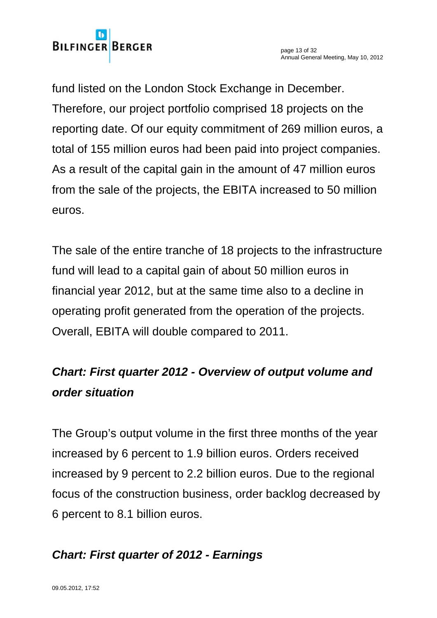# **BILFINGER BERGER**

fund listed on the London Stock Exchange in December. Therefore, our project portfolio comprised 18 projects on the reporting date. Of our equity commitment of 269 million euros, a total of 155 million euros had been paid into project companies. As a result of the capital gain in the amount of 47 million euros from the sale of the projects, the EBITA increased to 50 million euros.

The sale of the entire tranche of 18 projects to the infrastructure fund will lead to a capital gain of about 50 million euros in financial year 2012, but at the same time also to a decline in operating profit generated from the operation of the projects. Overall, EBITA will double compared to 2011.

# *Chart: First quarter 2012 - Overview of output volume and order situation*

The Group's output volume in the first three months of the year increased by 6 percent to 1.9 billion euros. Orders received increased by 9 percent to 2.2 billion euros. Due to the regional focus of the construction business, order backlog decreased by 6 percent to 8.1 billion euros.

# *Chart: First quarter of 2012 - Earnings*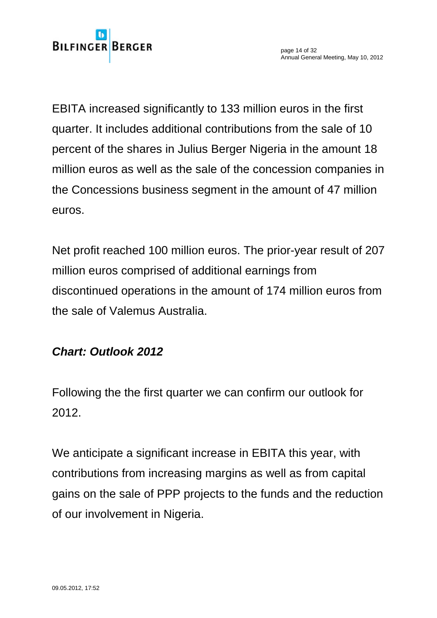**BILFINGER BERGER** 

EBITA increased significantly to 133 million euros in the first quarter. It includes additional contributions from the sale of 10 percent of the shares in Julius Berger Nigeria in the amount 18 million euros as well as the sale of the concession companies in the Concessions business segment in the amount of 47 million euros.

Net profit reached 100 million euros. The prior-year result of 207 million euros comprised of additional earnings from discontinued operations in the amount of 174 million euros from the sale of Valemus Australia.

#### *Chart: Outlook 2012*

Following the the first quarter we can confirm our outlook for 2012.

We anticipate a significant increase in EBITA this year, with contributions from increasing margins as well as from capital gains on the sale of PPP projects to the funds and the reduction of our involvement in Nigeria.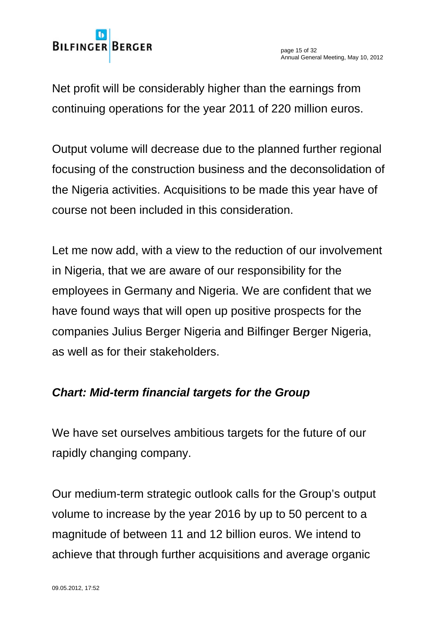

Net profit will be considerably higher than the earnings from continuing operations for the year 2011 of 220 million euros.

Output volume will decrease due to the planned further regional focusing of the construction business and the deconsolidation of the Nigeria activities. Acquisitions to be made this year have of course not been included in this consideration.

Let me now add, with a view to the reduction of our involvement in Nigeria, that we are aware of our responsibility for the employees in Germany and Nigeria. We are confident that we have found ways that will open up positive prospects for the companies Julius Berger Nigeria and Bilfinger Berger Nigeria, as well as for their stakeholders.

#### *Chart: Mid-term financial targets for the Group*

We have set ourselves ambitious targets for the future of our rapidly changing company.

Our medium-term strategic outlook calls for the Group's output volume to increase by the year 2016 by up to 50 percent to a magnitude of between 11 and 12 billion euros. We intend to achieve that through further acquisitions and average organic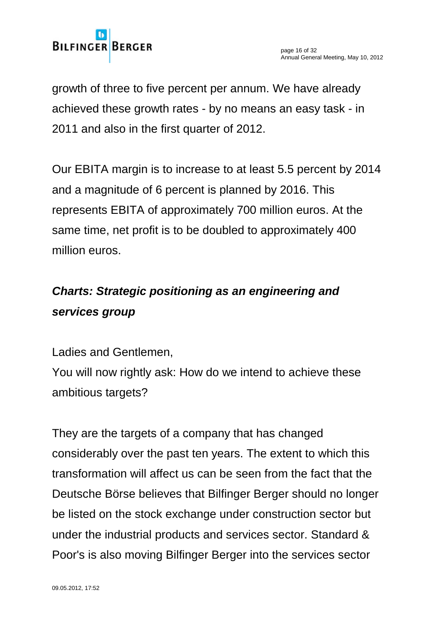

growth of three to five percent per annum. We have already achieved these growth rates - by no means an easy task - in 2011 and also in the first quarter of 2012.

Our EBITA margin is to increase to at least 5.5 percent by 2014 and a magnitude of 6 percent is planned by 2016. This represents EBITA of approximately 700 million euros. At the same time, net profit is to be doubled to approximately 400 million euros.

# *Charts: Strategic positioning as an engineering and services group*

Ladies and Gentlemen,

You will now rightly ask: How do we intend to achieve these ambitious targets?

They are the targets of a company that has changed considerably over the past ten years. The extent to which this transformation will affect us can be seen from the fact that the Deutsche Börse believes that Bilfinger Berger should no longer be listed on the stock exchange under construction sector but under the industrial products and services sector. Standard & Poor's is also moving Bilfinger Berger into the services sector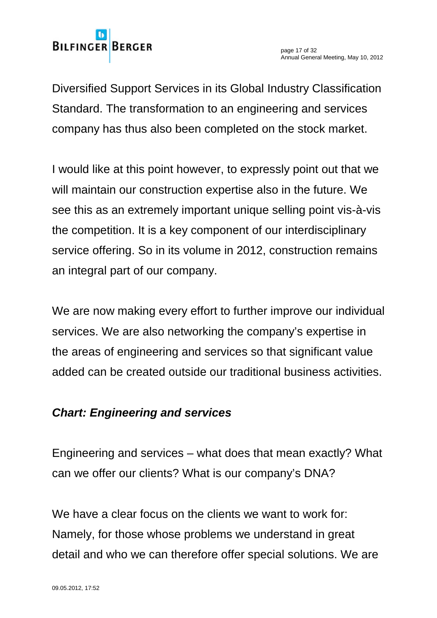# **BILFINGER BERGER**

Diversified Support Services in its Global Industry Classification Standard. The transformation to an engineering and services company has thus also been completed on the stock market.

I would like at this point however, to expressly point out that we will maintain our construction expertise also in the future. We see this as an extremely important unique selling point vis-à-vis the competition. It is a key component of our interdisciplinary service offering. So in its volume in 2012, construction remains an integral part of our company.

We are now making every effort to further improve our individual services. We are also networking the company's expertise in the areas of engineering and services so that significant value added can be created outside our traditional business activities.

## *Chart: Engineering and services*

Engineering and services – what does that mean exactly? What can we offer our clients? What is our company's DNA?

We have a clear focus on the clients we want to work for: Namely, for those whose problems we understand in great detail and who we can therefore offer special solutions. We are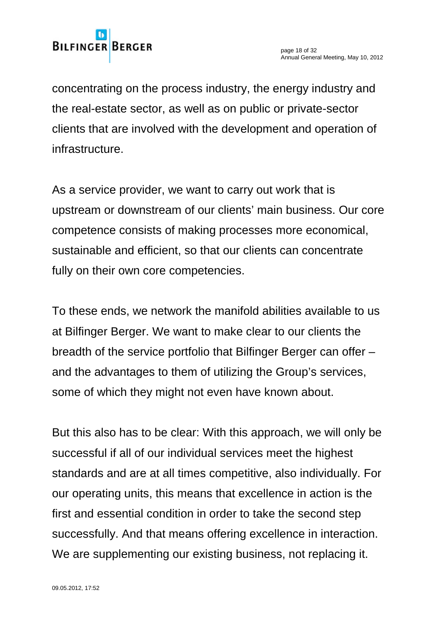

concentrating on the process industry, the energy industry and the real-estate sector, as well as on public or private-sector clients that are involved with the development and operation of infrastructure.

As a service provider, we want to carry out work that is upstream or downstream of our clients' main business. Our core competence consists of making processes more economical, sustainable and efficient, so that our clients can concentrate fully on their own core competencies.

To these ends, we network the manifold abilities available to us at Bilfinger Berger. We want to make clear to our clients the breadth of the service portfolio that Bilfinger Berger can offer – and the advantages to them of utilizing the Group's services, some of which they might not even have known about.

But this also has to be clear: With this approach, we will only be successful if all of our individual services meet the highest standards and are at all times competitive, also individually. For our operating units, this means that excellence in action is the first and essential condition in order to take the second step successfully. And that means offering excellence in interaction. We are supplementing our existing business, not replacing it.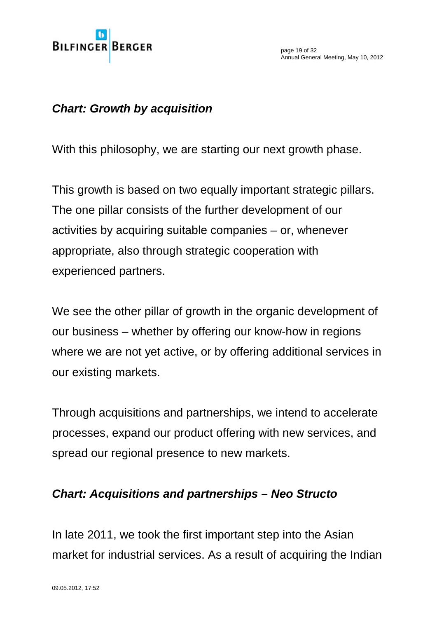

page 19 of 32 Annual General Meeting, May 10, 2012

#### *Chart: Growth by acquisition*

With this philosophy, we are starting our next growth phase.

This growth is based on two equally important strategic pillars. The one pillar consists of the further development of our activities by acquiring suitable companies – or, whenever appropriate, also through strategic cooperation with experienced partners.

We see the other pillar of growth in the organic development of our business – whether by offering our know-how in regions where we are not yet active, or by offering additional services in our existing markets.

Through acquisitions and partnerships, we intend to accelerate processes, expand our product offering with new services, and spread our regional presence to new markets.

#### *Chart: Acquisitions and partnerships – Neo Structo*

In late 2011, we took the first important step into the Asian market for industrial services. As a result of acquiring the Indian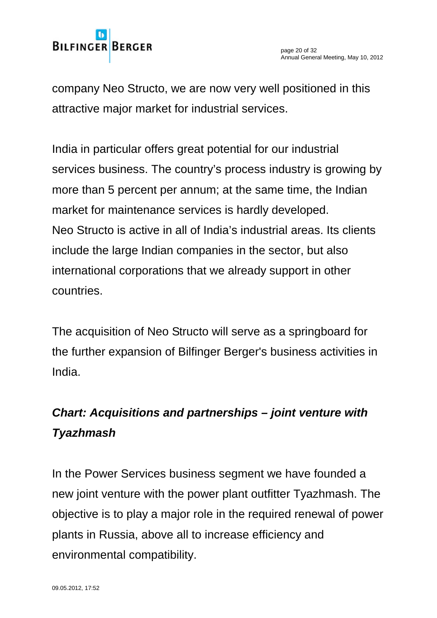

company Neo Structo, we are now very well positioned in this attractive major market for industrial services.

India in particular offers great potential for our industrial services business. The country's process industry is growing by more than 5 percent per annum; at the same time, the Indian market for maintenance services is hardly developed. Neo Structo is active in all of India's industrial areas. Its clients include the large Indian companies in the sector, but also international corporations that we already support in other countries.

The acquisition of Neo Structo will serve as a springboard for the further expansion of Bilfinger Berger's business activities in India.

# *Chart: Acquisitions and partnerships – joint venture with Tyazhmash*

In the Power Services business segment we have founded a new joint venture with the power plant outfitter Tyazhmash. The objective is to play a major role in the required renewal of power plants in Russia, above all to increase efficiency and environmental compatibility.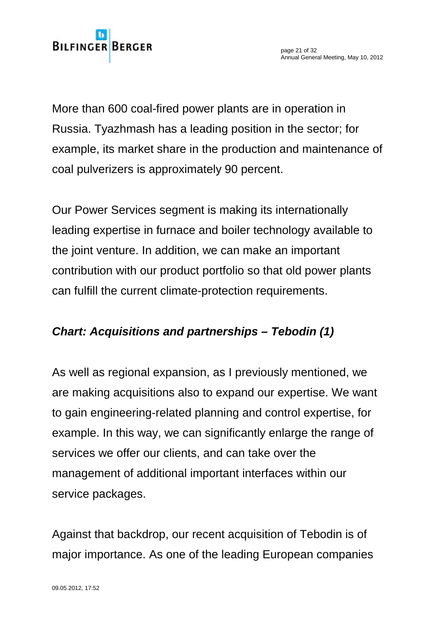More than 600 coal-fired power plants are in operation in Russia. Tyazhmash has a leading position in the sector; for example, its market share in the production and maintenance of coal pulverizers is approximately 90 percent.

Our Power Services segment is making its internationally leading expertise in furnace and boiler technology available to the joint venture. In addition, we can make an important contribution with our product portfolio so that old power plants can fulfill the current climate-protection requirements.

## *Chart: Acquisitions and partnerships – Tebodin (1)*

As well as regional expansion, as I previously mentioned, we are making acquisitions also to expand our expertise. We want to gain engineering-related planning and control expertise, for example. In this way, we can significantly enlarge the range of services we offer our clients, and can take over the management of additional important interfaces within our service packages.

Against that backdrop, our recent acquisition of Tebodin is of major importance. As one of the leading European companies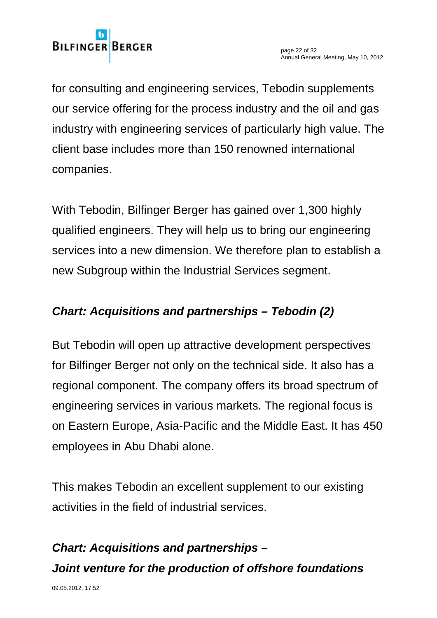

for consulting and engineering services, Tebodin supplements our service offering for the process industry and the oil and gas industry with engineering services of particularly high value. The client base includes more than 150 renowned international companies.

With Tebodin, Bilfinger Berger has gained over 1,300 highly qualified engineers. They will help us to bring our engineering services into a new dimension. We therefore plan to establish a new Subgroup within the Industrial Services segment.

## *Chart: Acquisitions and partnerships – Tebodin (2)*

But Tebodin will open up attractive development perspectives for Bilfinger Berger not only on the technical side. It also has a regional component. The company offers its broad spectrum of engineering services in various markets. The regional focus is on Eastern Europe, Asia-Pacific and the Middle East. It has 450 employees in Abu Dhabi alone.

This makes Tebodin an excellent supplement to our existing activities in the field of industrial services.

# *Chart: Acquisitions and partnerships – Joint venture for the production of offshore foundations*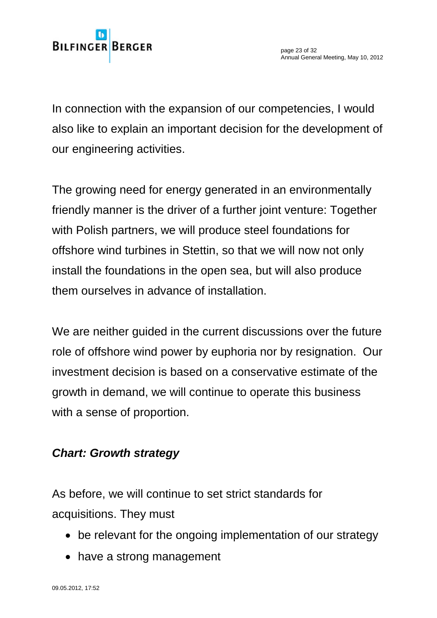In connection with the expansion of our competencies, I would also like to explain an important decision for the development of our engineering activities.

The growing need for energy generated in an environmentally friendly manner is the driver of a further joint venture: Together with Polish partners, we will produce steel foundations for offshore wind turbines in Stettin, so that we will now not only install the foundations in the open sea, but will also produce them ourselves in advance of installation.

We are neither guided in the current discussions over the future role of offshore wind power by euphoria nor by resignation. Our investment decision is based on a conservative estimate of the growth in demand, we will continue to operate this business with a sense of proportion.

## *Chart: Growth strategy*

As before, we will continue to set strict standards for acquisitions. They must

- be relevant for the ongoing implementation of our strategy
- have a strong management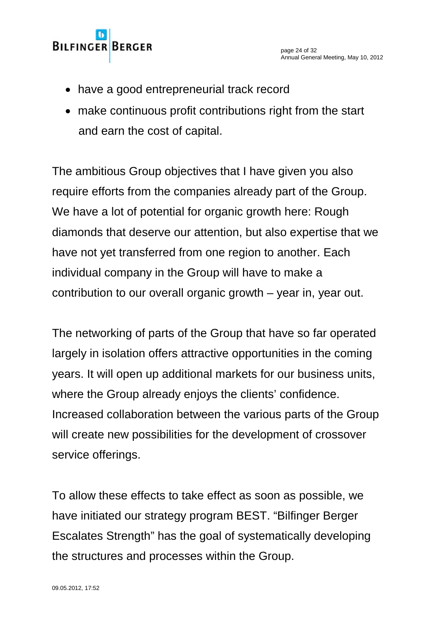# **BILFINGER BERGER**

- have a good entrepreneurial track record
- make continuous profit contributions right from the start and earn the cost of capital.

The ambitious Group objectives that I have given you also require efforts from the companies already part of the Group. We have a lot of potential for organic growth here: Rough diamonds that deserve our attention, but also expertise that we have not yet transferred from one region to another. Each individual company in the Group will have to make a contribution to our overall organic growth – year in, year out.

The networking of parts of the Group that have so far operated largely in isolation offers attractive opportunities in the coming years. It will open up additional markets for our business units, where the Group already enjoys the clients' confidence. Increased collaboration between the various parts of the Group will create new possibilities for the development of crossover service offerings.

To allow these effects to take effect as soon as possible, we have initiated our strategy program BEST. "Bilfinger Berger Escalates Strength" has the goal of systematically developing the structures and processes within the Group.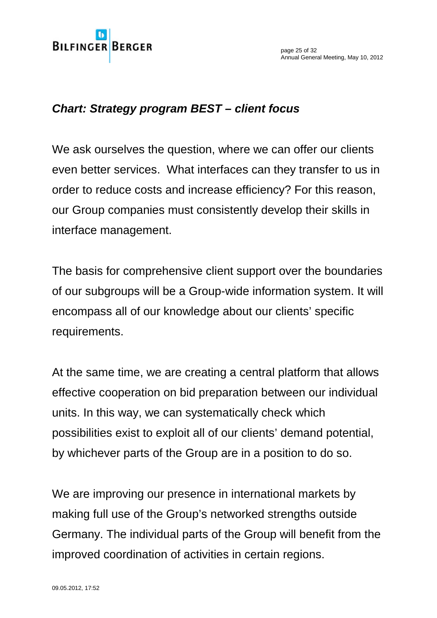page 25 of 32 Annual General Meeting, May 10, 2012

#### *Chart: Strategy program BEST – client focus*

We ask ourselves the question, where we can offer our clients even better services. What interfaces can they transfer to us in order to reduce costs and increase efficiency? For this reason, our Group companies must consistently develop their skills in interface management.

The basis for comprehensive client support over the boundaries of our subgroups will be a Group-wide information system. It will encompass all of our knowledge about our clients' specific requirements.

At the same time, we are creating a central platform that allows effective cooperation on bid preparation between our individual units. In this way, we can systematically check which possibilities exist to exploit all of our clients' demand potential, by whichever parts of the Group are in a position to do so.

We are improving our presence in international markets by making full use of the Group's networked strengths outside Germany. The individual parts of the Group will benefit from the improved coordination of activities in certain regions.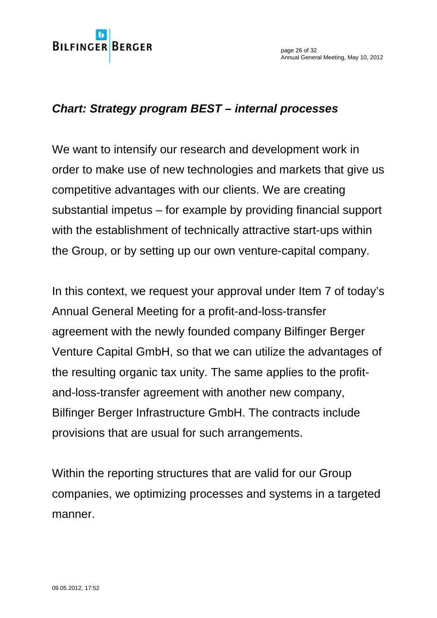page 26 of 32 Annual General Meeting, May 10, 2012

#### *Chart: Strategy program BEST – internal processes*

We want to intensify our research and development work in order to make use of new technologies and markets that give us competitive advantages with our clients. We are creating substantial impetus – for example by providing financial support with the establishment of technically attractive start-ups within the Group, or by setting up our own venture-capital company.

In this context, we request your approval under Item 7 of today's Annual General Meeting for a profit-and-loss-transfer agreement with the newly founded company Bilfinger Berger Venture Capital GmbH, so that we can utilize the advantages of the resulting organic tax unity. The same applies to the profitand-loss-transfer agreement with another new company, Bilfinger Berger Infrastructure GmbH. The contracts include provisions that are usual for such arrangements.

Within the reporting structures that are valid for our Group companies, we optimizing processes and systems in a targeted manner.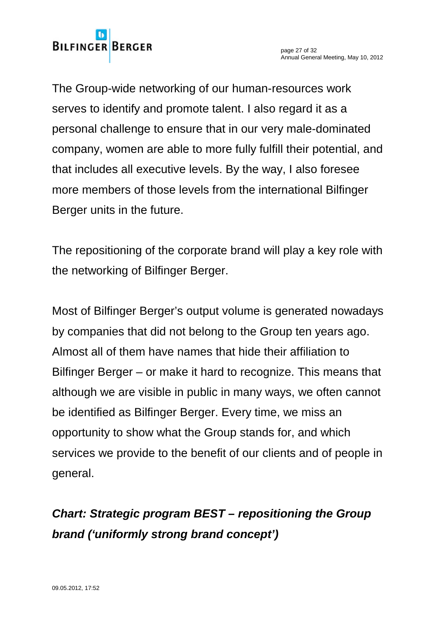The Group-wide networking of our human-resources work serves to identify and promote talent. I also regard it as a personal challenge to ensure that in our very male-dominated company, women are able to more fully fulfill their potential, and that includes all executive levels. By the way, I also foresee more members of those levels from the international Bilfinger Berger units in the future.

The repositioning of the corporate brand will play a key role with the networking of Bilfinger Berger.

Most of Bilfinger Berger's output volume is generated nowadays by companies that did not belong to the Group ten years ago. Almost all of them have names that hide their affiliation to Bilfinger Berger – or make it hard to recognize. This means that although we are visible in public in many ways, we often cannot be identified as Bilfinger Berger. Every time, we miss an opportunity to show what the Group stands for, and which services we provide to the benefit of our clients and of people in general.

# *Chart: Strategic program BEST – repositioning the Group brand ('uniformly strong brand concept')*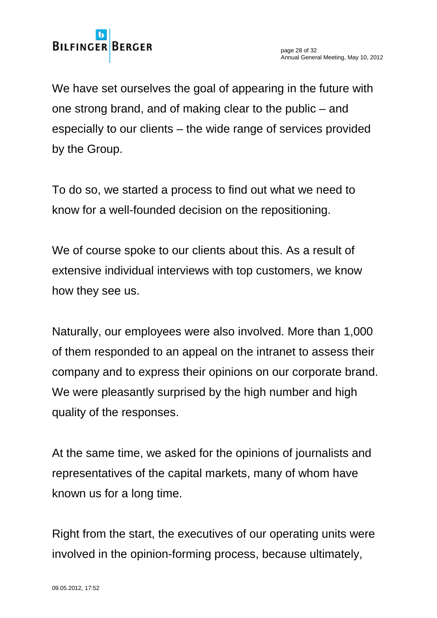We have set ourselves the goal of appearing in the future with one strong brand, and of making clear to the public – and especially to our clients – the wide range of services provided by the Group.

To do so, we started a process to find out what we need to know for a well-founded decision on the repositioning.

We of course spoke to our clients about this. As a result of extensive individual interviews with top customers, we know how they see us.

Naturally, our employees were also involved. More than 1,000 of them responded to an appeal on the intranet to assess their company and to express their opinions on our corporate brand. We were pleasantly surprised by the high number and high quality of the responses.

At the same time, we asked for the opinions of journalists and representatives of the capital markets, many of whom have known us for a long time.

Right from the start, the executives of our operating units were involved in the opinion-forming process, because ultimately,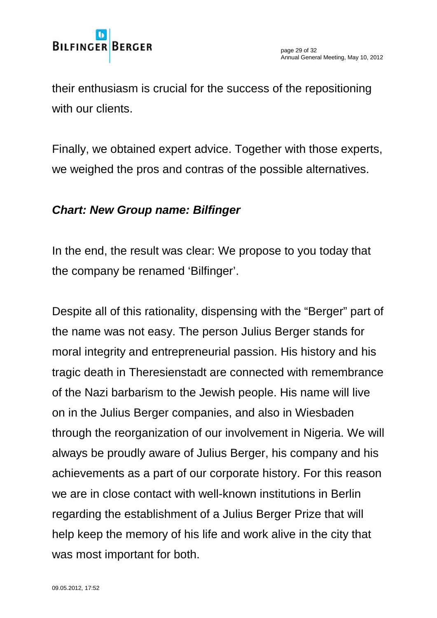their enthusiasm is crucial for the success of the repositioning with our clients.

Finally, we obtained expert advice. Together with those experts, we weighed the pros and contras of the possible alternatives.

## *Chart: New Group name: Bilfinger*

In the end, the result was clear: We propose to you today that the company be renamed 'Bilfinger'.

Despite all of this rationality, dispensing with the "Berger" part of the name was not easy. The person Julius Berger stands for moral integrity and entrepreneurial passion. His history and his tragic death in Theresienstadt are connected with remembrance of the Nazi barbarism to the Jewish people. His name will live on in the Julius Berger companies, and also in Wiesbaden through the reorganization of our involvement in Nigeria. We will always be proudly aware of Julius Berger, his company and his achievements as a part of our corporate history. For this reason we are in close contact with well-known institutions in Berlin regarding the establishment of a Julius Berger Prize that will help keep the memory of his life and work alive in the city that was most important for both.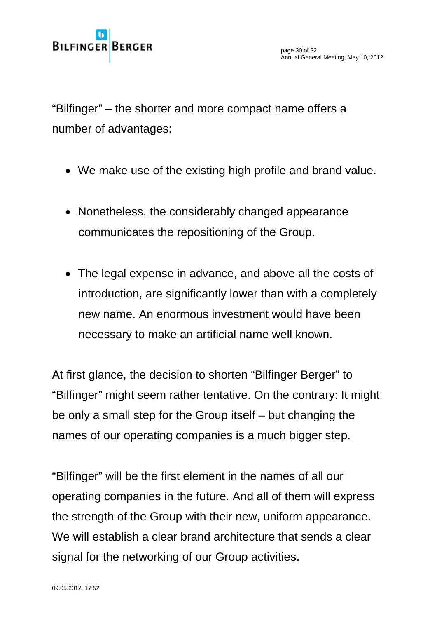"Bilfinger" – the shorter and more compact name offers a number of advantages:

- We make use of the existing high profile and brand value.
- Nonetheless, the considerably changed appearance communicates the repositioning of the Group.
- The legal expense in advance, and above all the costs of introduction, are significantly lower than with a completely new name. An enormous investment would have been necessary to make an artificial name well known.

At first glance, the decision to shorten "Bilfinger Berger" to "Bilfinger" might seem rather tentative. On the contrary: It might be only a small step for the Group itself – but changing the names of our operating companies is a much bigger step.

"Bilfinger" will be the first element in the names of all our operating companies in the future. And all of them will express the strength of the Group with their new, uniform appearance. We will establish a clear brand architecture that sends a clear signal for the networking of our Group activities.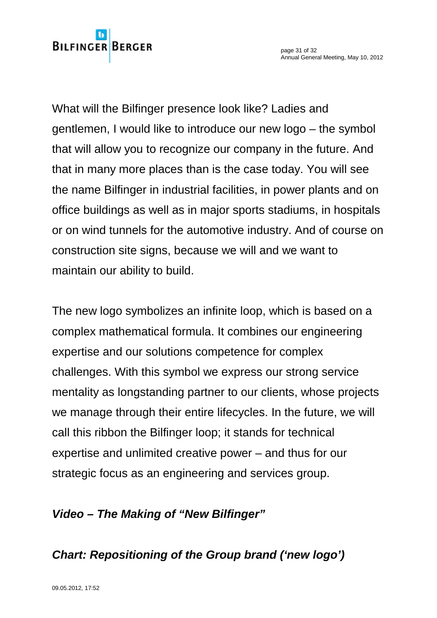**BILFINGER BERGER** 

What will the Bilfinger presence look like? Ladies and gentlemen, I would like to introduce our new logo – the symbol that will allow you to recognize our company in the future. And that in many more places than is the case today. You will see the name Bilfinger in industrial facilities, in power plants and on office buildings as well as in major sports stadiums, in hospitals or on wind tunnels for the automotive industry. And of course on construction site signs, because we will and we want to maintain our ability to build.

The new logo symbolizes an infinite loop, which is based on a complex mathematical formula. It combines our engineering expertise and our solutions competence for complex challenges. With this symbol we express our strong service mentality as longstanding partner to our clients, whose projects we manage through their entire lifecycles. In the future, we will call this ribbon the Bilfinger loop; it stands for technical expertise and unlimited creative power – and thus for our strategic focus as an engineering and services group.

# *Video – The Making of "New Bilfinger"*

*Chart: Repositioning of the Group brand ('new logo')*